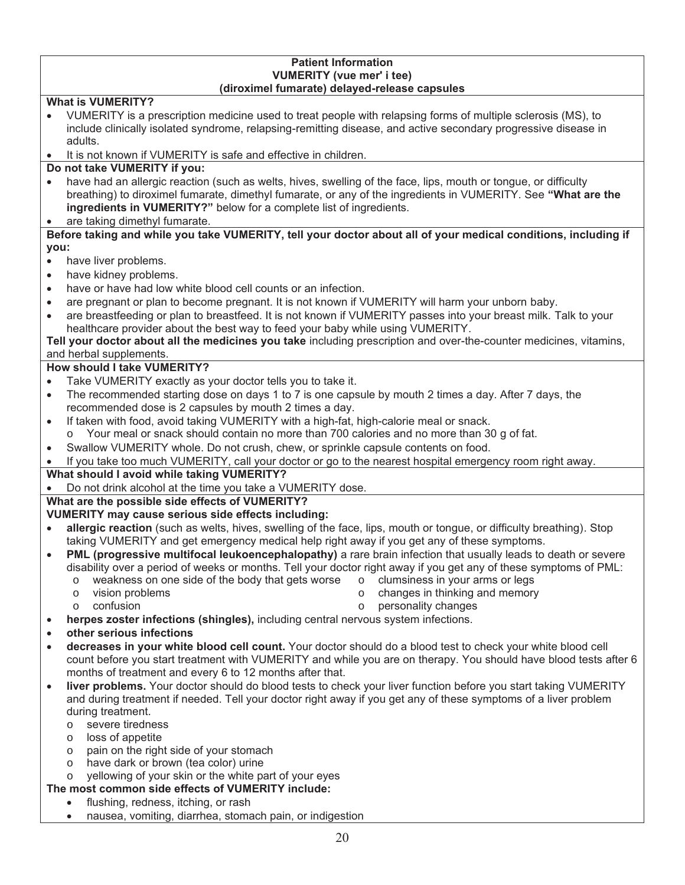#### **Patient Information VUMERITY (vue mer' i tee) (diroximel fumarate) delayed-release capsules**

# **What is VUMERITY?**

- x VUMERITY is a prescription medicine used to treat people with relapsing forms of multiple sclerosis (MS), to include clinically isolated syndrome, relapsing-remitting disease, and active secondary progressive disease in adults.
- It is not known if VUMERITY is safe and effective in children.

#### **Do not take VUMERITY if you:**

- have had an allergic reaction (such as welts, hives, swelling of the face, lips, mouth or tongue, or difficulty breathing) to diroximel fumarate, dimethyl fumarate, or any of the ingredients in VUMERITY. See **"What are the ingredients in VUMERITY?"** below for a complete list of ingredients.
- are taking dimethyl fumarate.

#### **Before taking and while you take VUMERITY, tell your doctor about all of your medical conditions, including if you:**

- have liver problems.
- have kidney problems.
- have or have had low white blood cell counts or an infection.
- are pregnant or plan to become pregnant. It is not known if VUMERITY will harm your unborn baby.
- are breastfeeding or plan to breastfeed. It is not known if VUMERITY passes into your breast milk. Talk to your healthcare provider about the best way to feed your baby while using VUMERITY.

#### **Tell your doctor about all the medicines you take** including prescription and over-the-counter medicines, vitamins, and herbal supplements.

## **How should I take VUMERITY?**

- Take VUMERITY exactly as your doctor tells you to take it.
- The recommended starting dose on days 1 to 7 is one capsule by mouth 2 times a day. After 7 days, the recommended dose is 2 capsules by mouth 2 times a day.
- If taken with food, avoid taking VUMERITY with a high-fat, high-calorie meal or snack.
	- o Your meal or snack should contain no more than 700 calories and no more than 30 g of fat.
- Swallow VUMERITY whole. Do not crush, chew, or sprinkle capsule contents on food.
- If you take too much VUMERITY, call your doctor or go to the nearest hospital emergency room right away.

## **What should I avoid while taking VUMERITY?**

Do not drink alcohol at the time you take a VUMERITY dose.

## **What are the possible side effects of VUMERITY?**

## **VUMERITY may cause serious side effects including:**

- allergic reaction (such as welts, hives, swelling of the face, lips, mouth or tongue, or difficulty breathing). Stop taking VUMERITY and get emergency medical help right away if you get any of these symptoms.
- **PML (progressive multifocal leukoencephalopathy)** a rare brain infection that usually leads to death or severe disability over a period of weeks or months. Tell your doctor right away if you get any of these symptoms of PML:
	- $\circ$  weakness on one side of the body that gets worse  $\circ$  clumsiness in your arms or legs
	- o vision problems o changes in thinking and memory
	-
	- o confusion o personality changes
- herpes zoster infections (shingles), including central nervous system infections.
- x **other serious infections**
- x **decreases in your white blood cell count.** Your doctor should do a blood test to check your white blood cell count before you start treatment with VUMERITY and while you are on therapy. You should have blood tests after 6 months of treatment and every 6 to 12 months after that.
- **liver problems.** Your doctor should do blood tests to check your liver function before you start taking VUMERITY and during treatment if needed. Tell your doctor right away if you get any of these symptoms of a liver problem during treatment.
	- o severe tiredness
	- o loss of appetite
	- o pain on the right side of your stomach
	- o have dark or brown (tea color) urine

# o yellowing of your skin or the white part of your eyes

## **The most common side effects of VUMERITY include:**

- flushing, redness, itching, or rash
- nausea, vomiting, diarrhea, stomach pain, or indigestion